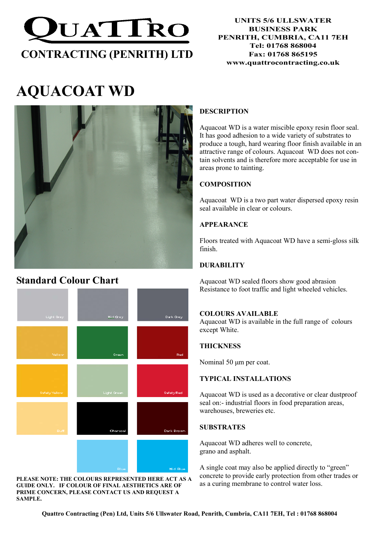

# AQUACOAT WD



# Standard Colour Chart



PLEASE NOTE: THE COLOURS REPRESENTED HERE ACT AS A GUIDE ONLY. IF COLOUR OF FINAL AESTHETICS ARE OF PRIME CONCERN, PLEASE CONTACT US AND REQUEST A SAMPLE.

## DESCRIPTION

Aquacoat WD is a water miscible epoxy resin floor seal. It has good adhesion to a wide variety of substrates to produce a tough, hard wearing floor finish available in an attractive range of colours. Aquacoat WD does not contain solvents and is therefore more acceptable for use in areas prone to tainting.

# **COMPOSITION**

Aquacoat WD is a two part water dispersed epoxy resin seal available in clear or colours.

## **APPEARANCE**

Floors treated with Aquacoat WD have a semi-gloss silk finish.

### **DURABILITY**

Aquacoat WD sealed floors show good abrasion Resistance to foot traffic and light wheeled vehicles.

#### COLOURS AVAILABLE

Aquacoat WD is available in the full range of colours except White.

#### **THICKNESS**

Nominal 50 µm per coat.

#### TYPICAL INSTALLATIONS

Aquacoat WD is used as a decorative or clear dustproof seal on:- industrial floors in food preparation areas, warehouses, breweries etc.

#### **SUBSTRATES**

Aquacoat WD adheres well to concrete, grano and asphalt.

A single coat may also be applied directly to "green" concrete to provide early protection from other trades or as a curing membrane to control water loss.